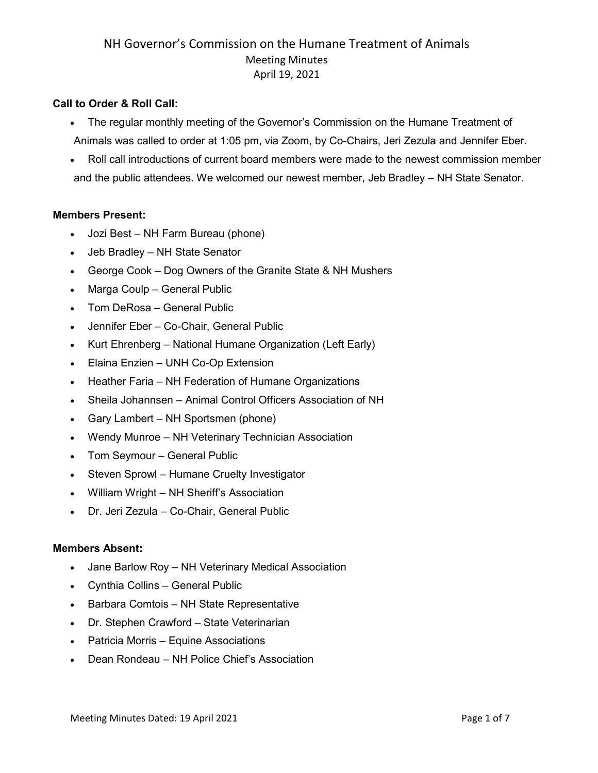## **Call to Order & Roll Call:**

- The regular monthly meeting of the Governor's Commission on the Humane Treatment of Animals was called to order at 1:05 pm, via Zoom, by Co-Chairs, Jeri Zezula and Jennifer Eber.
- Roll call introductions of current board members were made to the newest commission member and the public attendees. We welcomed our newest member, Jeb Bradley – NH State Senator.

### **Members Present:**

- Jozi Best NH Farm Bureau (phone)
- Jeb Bradley NH State Senator
- George Cook Dog Owners of the Granite State & NH Mushers
- Marga Coulp General Public
- Tom DeRosa General Public
- Jennifer Eber Co-Chair, General Public
- Kurt Ehrenberg National Humane Organization (Left Early)
- Elaina Enzien UNH Co-Op Extension
- Heather Faria NH Federation of Humane Organizations
- Sheila Johannsen Animal Control Officers Association of NH
- Gary Lambert NH Sportsmen (phone)
- Wendy Munroe NH Veterinary Technician Association
- Tom Seymour General Public
- Steven Sprowl Humane Cruelty Investigator
- William Wright NH Sheriff's Association
- Dr. Jeri Zezula Co-Chair, General Public

#### **Members Absent:**

- Jane Barlow Roy NH Veterinary Medical Association
- Cynthia Collins General Public
- Barbara Comtois NH State Representative
- Dr. Stephen Crawford State Veterinarian
- Patricia Morris Equine Associations
- Dean Rondeau NH Police Chief's Association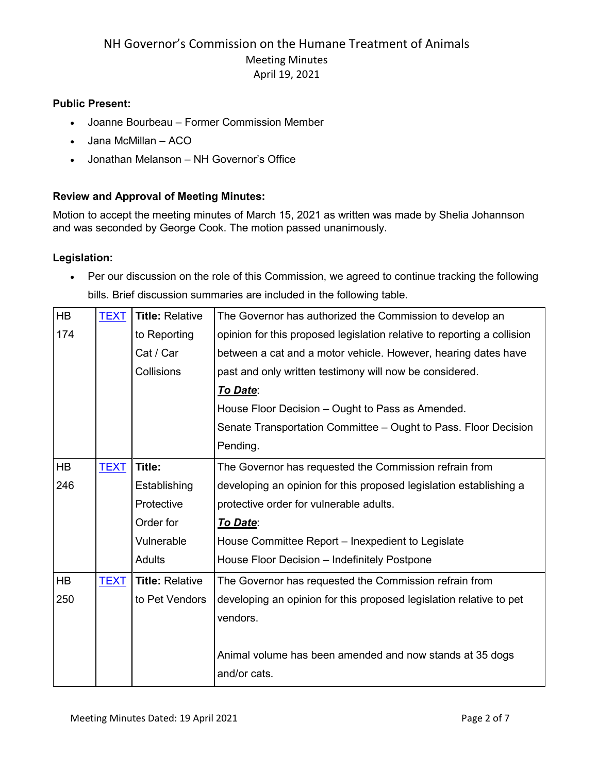## **Public Present:**

- Joanne Bourbeau Former Commission Member
- Jana McMillan ACO
- Jonathan Melanson NH Governor's Office

## **Review and Approval of Meeting Minutes:**

Motion to accept the meeting minutes of March 15, 2021 as written was made by Shelia Johannson and was seconded by George Cook. The motion passed unanimously.

## **Legislation:**

• Per our discussion on the role of this Commission, we agreed to continue tracking the following bills. Brief discussion summaries are included in the following table.

| HB        | <b>TEXT</b> | <b>Title: Relative</b> | The Governor has authorized the Commission to develop an                |
|-----------|-------------|------------------------|-------------------------------------------------------------------------|
| 174       |             | to Reporting           | opinion for this proposed legislation relative to reporting a collision |
|           |             | Cat / Car              | between a cat and a motor vehicle. However, hearing dates have          |
|           |             | Collisions             | past and only written testimony will now be considered.                 |
|           |             |                        | To Date:                                                                |
|           |             |                        | House Floor Decision - Ought to Pass as Amended.                        |
|           |             |                        | Senate Transportation Committee - Ought to Pass. Floor Decision         |
|           |             |                        | Pending.                                                                |
| <b>HB</b> | <b>TEXT</b> | Title:                 | The Governor has requested the Commission refrain from                  |
| 246       |             | Establishing           | developing an opinion for this proposed legislation establishing a      |
|           |             | Protective             | protective order for vulnerable adults.                                 |
|           |             | Order for              | <b>To Date:</b>                                                         |
|           |             | Vulnerable             | House Committee Report – Inexpedient to Legislate                       |
|           |             | <b>Adults</b>          | House Floor Decision - Indefinitely Postpone                            |
| HB        | <b>TEXT</b> | <b>Title: Relative</b> | The Governor has requested the Commission refrain from                  |
| 250       |             | to Pet Vendors         | developing an opinion for this proposed legislation relative to pet     |
|           |             |                        | vendors.                                                                |
|           |             |                        |                                                                         |
|           |             |                        | Animal volume has been amended and now stands at 35 dogs                |
|           |             |                        | and/or cats.                                                            |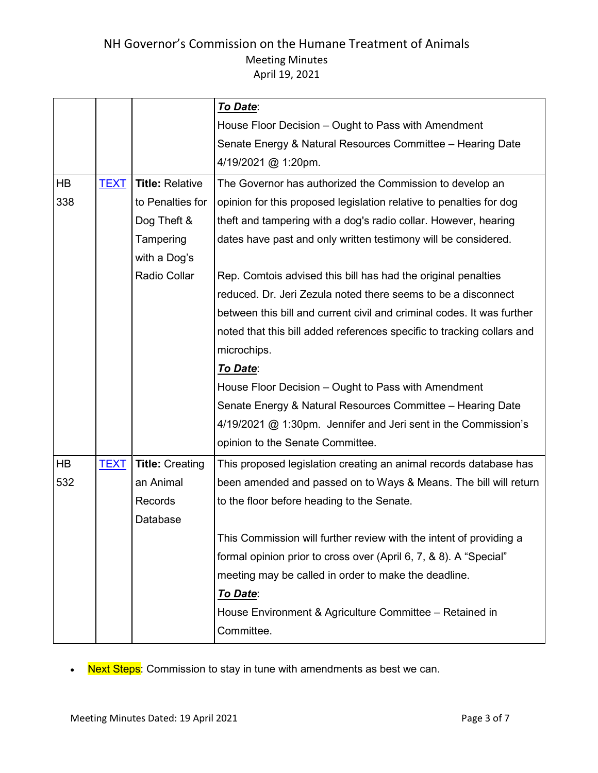|           |             |                        | To Date:                                                               |
|-----------|-------------|------------------------|------------------------------------------------------------------------|
|           |             |                        | House Floor Decision – Ought to Pass with Amendment                    |
|           |             |                        | Senate Energy & Natural Resources Committee - Hearing Date             |
|           |             |                        | 4/19/2021 @ 1:20pm.                                                    |
| <b>HB</b> | <b>TEXT</b> | <b>Title: Relative</b> | The Governor has authorized the Commission to develop an               |
| 338       |             | to Penalties for       | opinion for this proposed legislation relative to penalties for dog    |
|           |             | Dog Theft &            | theft and tampering with a dog's radio collar. However, hearing        |
|           |             | Tampering              | dates have past and only written testimony will be considered.         |
|           |             | with a Dog's           |                                                                        |
|           |             | <b>Radio Collar</b>    | Rep. Comtois advised this bill has had the original penalties          |
|           |             |                        | reduced. Dr. Jeri Zezula noted there seems to be a disconnect          |
|           |             |                        | between this bill and current civil and criminal codes. It was further |
|           |             |                        | noted that this bill added references specific to tracking collars and |
|           |             |                        | microchips.                                                            |
|           |             |                        | <b>To Date:</b>                                                        |
|           |             |                        | House Floor Decision - Ought to Pass with Amendment                    |
|           |             |                        | Senate Energy & Natural Resources Committee - Hearing Date             |
|           |             |                        | 4/19/2021 @ 1:30pm. Jennifer and Jeri sent in the Commission's         |
|           |             |                        | opinion to the Senate Committee.                                       |
| <b>HB</b> | <b>TEXT</b> | <b>Title: Creating</b> | This proposed legislation creating an animal records database has      |
| 532       |             | an Animal              | been amended and passed on to Ways & Means. The bill will return       |
|           |             | Records                | to the floor before heading to the Senate.                             |
|           |             | Database               |                                                                        |
|           |             |                        | This Commission will further review with the intent of providing a     |
|           |             |                        | formal opinion prior to cross over (April 6, 7, & 8). A "Special"      |
|           |             |                        | meeting may be called in order to make the deadline.                   |
|           |             |                        | To Date:                                                               |
|           |             |                        | House Environment & Agriculture Committee - Retained in                |
|           |             |                        | Committee.                                                             |

• Next Steps: Commission to stay in tune with amendments as best we can.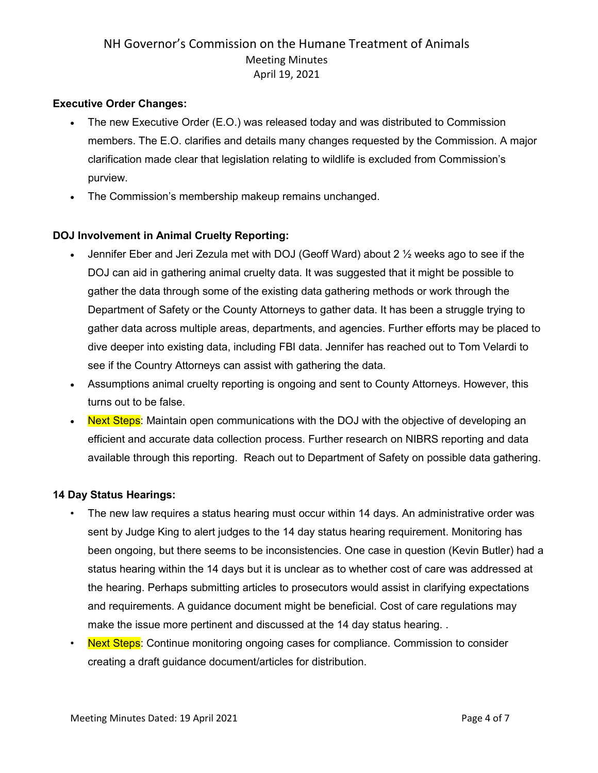### **Executive Order Changes:**

- The new Executive Order (E.O.) was released today and was distributed to Commission members. The E.O. clarifies and details many changes requested by the Commission. A major clarification made clear that legislation relating to wildlife is excluded from Commission's purview.
- The Commission's membership makeup remains unchanged.

## **DOJ Involvement in Animal Cruelty Reporting:**

- Jennifer Eber and Jeri Zezula met with DOJ (Geoff Ward) about 2 ½ weeks ago to see if the DOJ can aid in gathering animal cruelty data. It was suggested that it might be possible to gather the data through some of the existing data gathering methods or work through the Department of Safety or the County Attorneys to gather data. It has been a struggle trying to gather data across multiple areas, departments, and agencies. Further efforts may be placed to dive deeper into existing data, including FBI data. Jennifer has reached out to Tom Velardi to see if the Country Attorneys can assist with gathering the data.
- Assumptions animal cruelty reporting is ongoing and sent to County Attorneys. However, this turns out to be false.
- **Next Steps:** Maintain open communications with the DOJ with the objective of developing an efficient and accurate data collection process. Further research on NIBRS reporting and data available through this reporting. Reach out to Department of Safety on possible data gathering.

#### **14 Day Status Hearings:**

- The new law requires a status hearing must occur within 14 days. An administrative order was sent by Judge King to alert judges to the 14 day status hearing requirement. Monitoring has been ongoing, but there seems to be inconsistencies. One case in question (Kevin Butler) had a status hearing within the 14 days but it is unclear as to whether cost of care was addressed at the hearing. Perhaps submitting articles to prosecutors would assist in clarifying expectations and requirements. A guidance document might be beneficial. Cost of care regulations may make the issue more pertinent and discussed at the 14 day status hearing. .
- **Next Steps:** Continue monitoring ongoing cases for compliance. Commission to consider creating a draft guidance document/articles for distribution.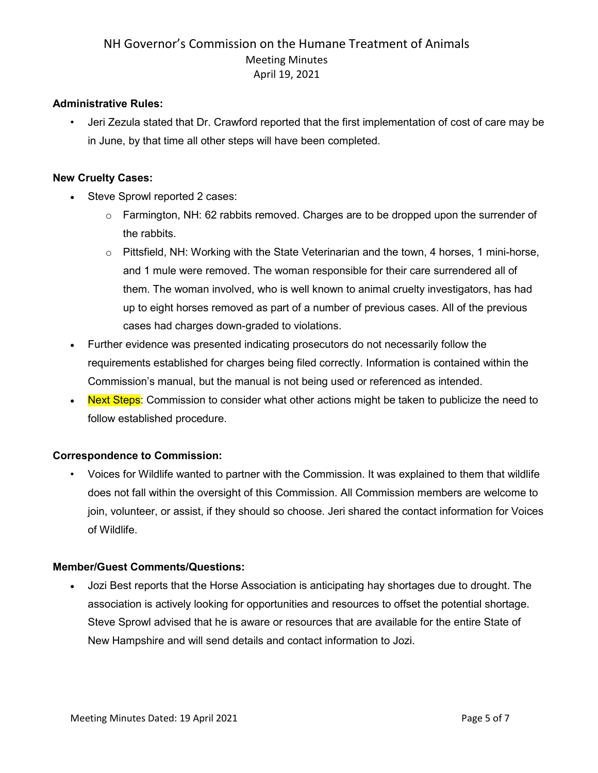### **Administrative Rules:**

• Jeri Zezula stated that Dr. Crawford reported that the first implementation of cost of care may be in June, by that time all other steps will have been completed.

### **New Cruelty Cases:**

- Steve Sprowl reported 2 cases:
	- $\circ$  Farmington, NH: 62 rabbits removed. Charges are to be dropped upon the surrender of the rabbits.
	- o Pittsfield, NH: Working with the State Veterinarian and the town, 4 horses, 1 mini-horse, and 1 mule were removed. The woman responsible for their care surrendered all of them. The woman involved, who is well known to animal cruelty investigators, has had up to eight horses removed as part of a number of previous cases. All of the previous cases had charges down-graded to violations.
- Further evidence was presented indicating prosecutors do not necessarily follow the requirements established for charges being filed correctly. Information is contained within the Commission's manual, but the manual is not being used or referenced as intended.
- Next Steps: Commission to consider what other actions might be taken to publicize the need to follow established procedure.

## **Correspondence to Commission:**

• Voices for Wildlife wanted to partner with the Commission. It was explained to them that wildlife does not fall within the oversight of this Commission. All Commission members are welcome to join, volunteer, or assist, if they should so choose. Jeri shared the contact information for Voices of Wildlife.

#### **Member/Guest Comments/Questions:**

• Jozi Best reports that the Horse Association is anticipating hay shortages due to drought. The association is actively looking for opportunities and resources to offset the potential shortage. Steve Sprowl advised that he is aware or resources that are available for the entire State of New Hampshire and will send details and contact information to Jozi.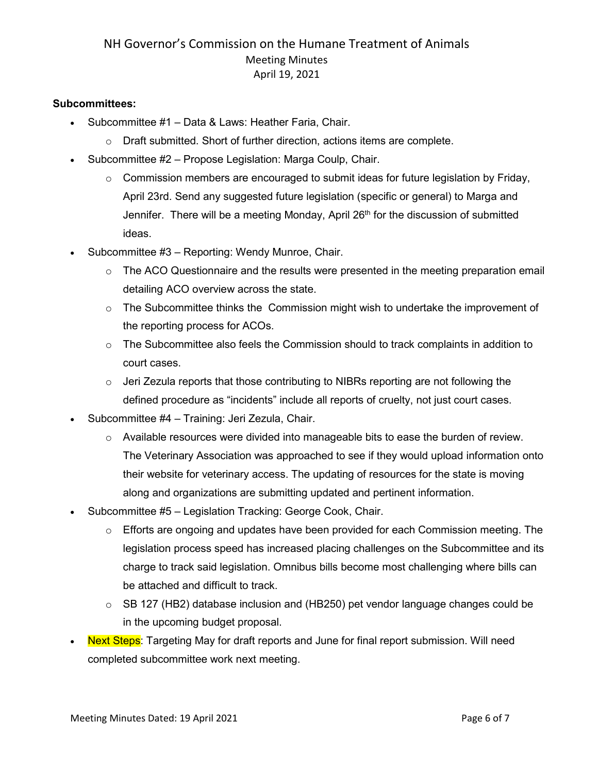### **Subcommittees:**

- Subcommittee #1 Data & Laws: Heather Faria, Chair.
	- $\circ$  Draft submitted. Short of further direction, actions items are complete.
- Subcommittee #2 Propose Legislation: Marga Coulp, Chair.
	- $\circ$  Commission members are encouraged to submit ideas for future legislation by Friday, April 23rd. Send any suggested future legislation (specific or general) to Marga and Jennifer. There will be a meeting Monday, April  $26<sup>th</sup>$  for the discussion of submitted ideas.
- Subcommittee #3 Reporting: Wendy Munroe, Chair.
	- $\circ$  The ACO Questionnaire and the results were presented in the meeting preparation email detailing ACO overview across the state.
	- $\circ$  The Subcommittee thinks the Commission might wish to undertake the improvement of the reporting process for ACOs.
	- $\circ$  The Subcommittee also feels the Commission should to track complaints in addition to court cases.
	- $\circ$  Jeri Zezula reports that those contributing to NIBRs reporting are not following the defined procedure as "incidents" include all reports of cruelty, not just court cases.
- Subcommittee #4 Training: Jeri Zezula, Chair.
	- $\circ$  Available resources were divided into manageable bits to ease the burden of review. The Veterinary Association was approached to see if they would upload information onto their website for veterinary access. The updating of resources for the state is moving along and organizations are submitting updated and pertinent information.
- Subcommittee #5 Legislation Tracking: George Cook, Chair.
	- $\circ$  Efforts are ongoing and updates have been provided for each Commission meeting. The legislation process speed has increased placing challenges on the Subcommittee and its charge to track said legislation. Omnibus bills become most challenging where bills can be attached and difficult to track.
	- o SB 127 (HB2) database inclusion and (HB250) pet vendor language changes could be in the upcoming budget proposal.
- **Next Steps**: Targeting May for draft reports and June for final report submission. Will need completed subcommittee work next meeting.